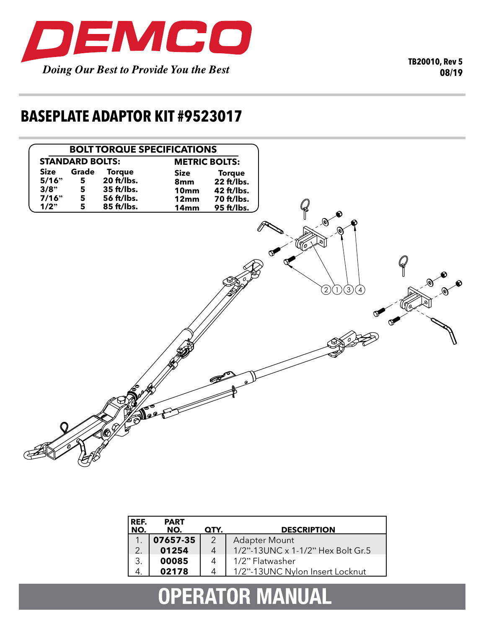

**TB20010, Rev 5 08/19**

## **BASEPLATE ADAPTOR KIT #9523017**



| REF.<br>NO. | <b>PART</b><br>NO. | QTY. | <b>DESCRIPTION</b>                |
|-------------|--------------------|------|-----------------------------------|
|             |                    |      |                                   |
|             | 07657-35           |      | <b>Adapter Mount</b>              |
| 2.          | 01254              | 4    | 1/2"-13UNC x 1-1/2" Hex Bolt Gr.5 |
| 3.          | 00085              |      | 1/2" Flatwasher                   |
| 4.          | 02178              |      | 1/2"-13UNC Nylon Insert Locknut   |
|             |                    |      |                                   |

# **OPERATOR MANUAL**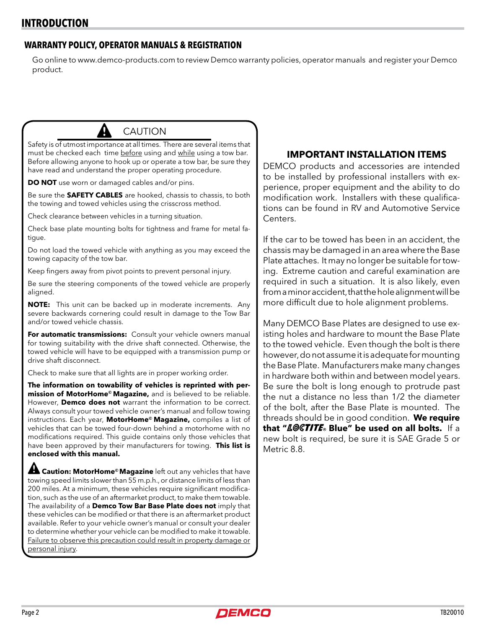#### **WARRANTY POLICY, OPERATOR MANUALS & REGISTRATION**

Go online to www.demco-products.com to review Demco warranty policies, operator manuals and register your Demco product.

### CAUTION

Safety is of utmost importance at all times. There are several items that must be checked each time before using and while using a tow bar. Before allowing anyone to hook up or operate a tow bar, be sure they have read and understand the proper operating procedure.

**DO NOT** use worn or damaged cables and/or pins.

Be sure the **SAFETY CABLES** are hooked, chassis to chassis, to both the towing and towed vehicles using the crisscross method.

Check clearance between vehicles in a turning situation.

Check base plate mounting bolts for tightness and frame for metal fatigue.

Do not load the towed vehicle with anything as you may exceed the towing capacity of the tow bar.

Keep fingers away from pivot points to prevent personal injury.

Be sure the steering components of the towed vehicle are properly aligned.

**NOTE:** This unit can be backed up in moderate increments. Any severe backwards cornering could result in damage to the Tow Bar and/or towed vehicle chassis.

**For automatic transmissions:** Consult your vehicle owners manual for towing suitability with the drive shaft connected. Otherwise, the towed vehicle will have to be equipped with a transmission pump or drive shaft disconnect.

Check to make sure that all lights are in proper working order.

**The information on towability of vehicles is reprinted with permission of MotorHome© Magazine,** and is believed to be reliable. However, **Demco does not** warrant the information to be correct. Always consult your towed vehicle owner's manual and follow towing instructions. Each year, **MotorHome© Magazine,** compiles a list of vehicles that can be towed four-down behind a motorhome with no modifications required. This guide contains only those vehicles that have been approved by their manufacturers for towing. **This list is enclosed with this manual.**

 **Caution: MotorHome© Magazine** left out any vehicles that have towing speed limits slower than 55 m.p.h., or distance limits of less than 200 miles. At a minimum, these vehicles require significant modification, such as the use of an aftermarket product, to make them towable. The availability of a **Demco Tow Bar Base Plate does not** imply that these vehicles can be modified or that there is an aftermarket product available. Refer to your vehicle owner's manual or consult your dealer to determine whether your vehicle can be modified to make it towable. Failure to observe this precaution could result in property damage or personal injury.

#### **IMPORTANT INSTALLATION ITEMS**

DEMCO products and accessories are intended to be installed by professional installers with experience, proper equipment and the ability to do modification work. Installers with these qualifications can be found in RV and Automotive Service Centers.

If the car to be towed has been in an accident, the chassis may be damaged in an area where the Base Plate attaches. It may no longer be suitable for towing. Extreme caution and careful examination are required in such a situation. It is also likely, even from a minor accident, that the hole alignment will be more difficult due to hole alignment problems.

Many DEMCO Base Plates are designed to use existing holes and hardware to mount the Base Plate to the towed vehicle. Even though the bolt is there however, do not assume it is adequate for mounting the Base Plate. Manufacturers make many changes in hardware both within and between model years. Be sure the bolt is long enough to protrude past the nut a distance no less than 1/2 the diameter of the bolt, after the Base Plate is mounted. The threads should be in good condition. **We require**  that "LOCTITE. Blue" be used on all bolts. If a new bolt is required, be sure it is SAE Grade 5 or Metric 8.8.

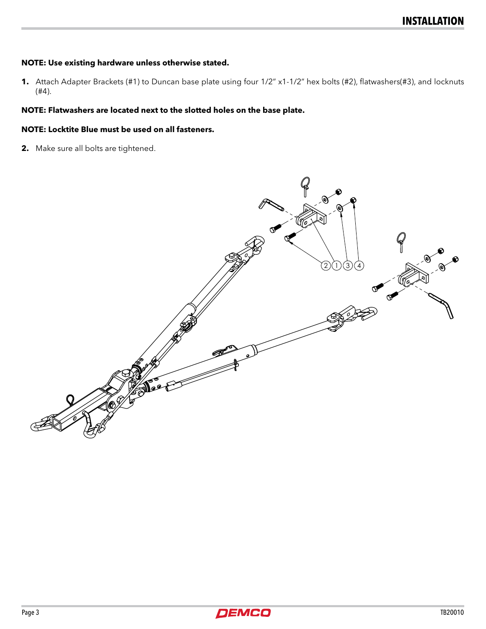#### **NOTE: Use existing hardware unless otherwise stated.**

**1.** Attach Adapter Brackets (#1) to Duncan base plate using four 1/2" x1-1/2" hex bolts (#2), flatwashers(#3), and locknuts (#4).

#### **NOTE: Flatwashers are located next to the slotted holes on the base plate.**

#### **NOTE: Locktite Blue must be used on all fasteners.**

**2.** Make sure all bolts are tightened.